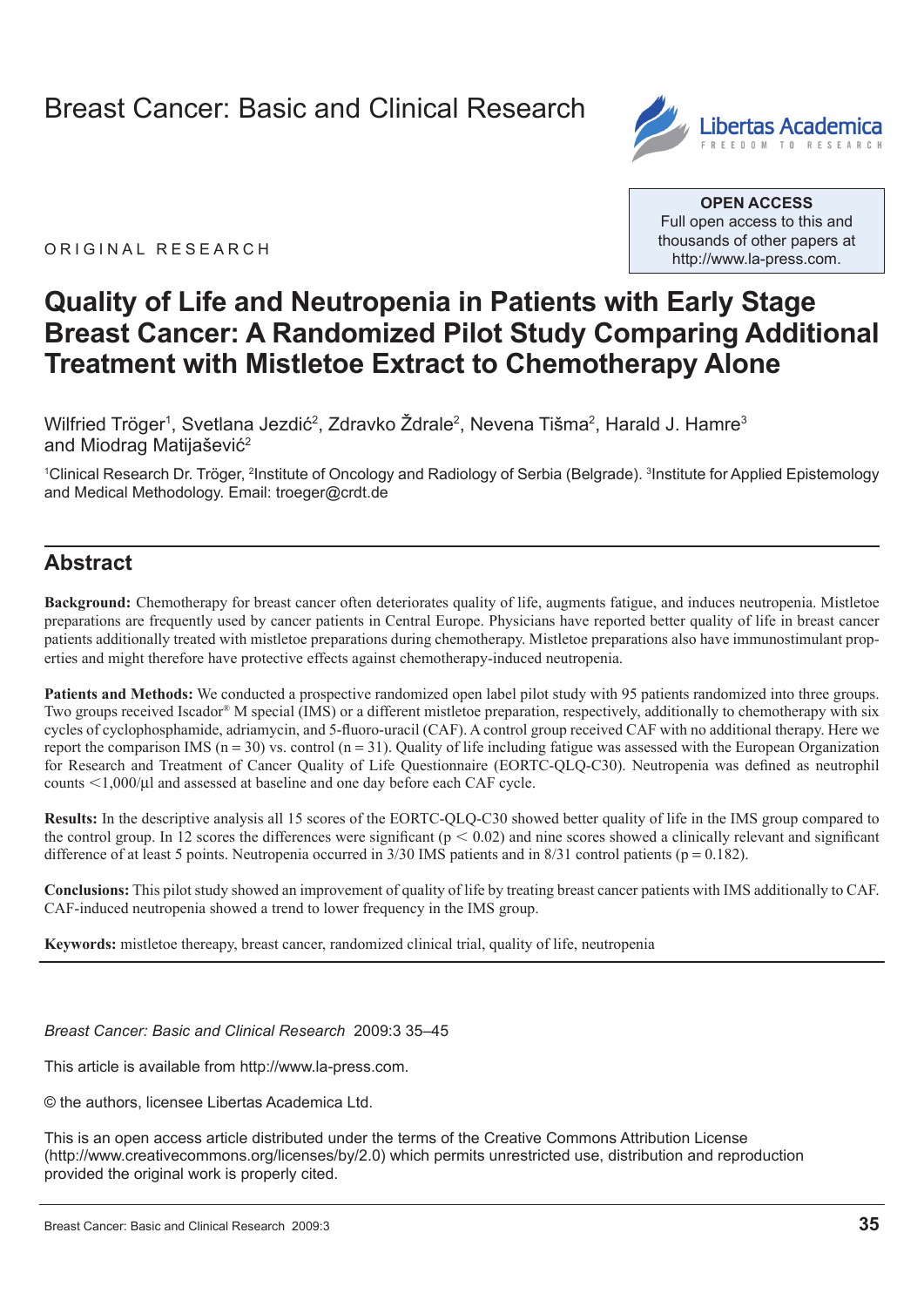# Breast Cancer: Basic and Clinical Research



ORIGINAL RESEARCH

**Open Access** Full open access to this and thousands of other papers at <http://www.la-press.com>.

# **Quality of Life and Neutropenia in Patients with Early Stage Breast Cancer: A Randomized Pilot Study Comparing Additional Treatment with Mistletoe Extract to Chemotherapy Alone**

Wilfried Tröger<sup>1</sup>, Svetlana Jezdić<sup>2</sup>, Zdravko Żdrale<sup>2</sup>, Nevena Tišma<sup>2</sup>, Harald J. Hamre<sup>3</sup> and Miodrag Matijašević<sup>2</sup>

<sup>1</sup>Clinical Research Dr. Tröger, <sup>2</sup>Institute of Oncology and Radiology of Serbia (Belgrade). <sup>3</sup>Institute for Applied Epistemology and Medical Methodology. Email: [troeger@crdt.de](mailto:troeger@crdt.de)

## **Abstract**

**Background:** Chemotherapy for breast cancer often deteriorates quality of life, augments fatigue, and induces neutropenia. Mistletoe preparations are frequently used by cancer patients in Central Europe. Physicians have reported better quality of life in breast cancer patients additionally treated with mistletoe preparations during chemotherapy. Mistletoe preparations also have immunostimulant properties and might therefore have protective effects against chemotherapy-induced neutropenia.

**Patients and Methods:** We conducted a prospective randomized open label pilot study with 95 patients randomized into three groups. Two groups received Iscador® M special (IMS) or a different mistletoe preparation, respectively, additionally to chemotherapy with six cycles of cyclophosphamide, adriamycin, and 5-fluoro-uracil (CAF). A control group received CAF with no additional therapy. Here we report the comparison IMS ( $n = 30$ ) vs. control ( $n = 31$ ). Quality of life including fatigue was assessed with the European Organization for Research and Treatment of Cancer Quality of Life Questionnaire (EORTC-QLQ-C30). Neutropenia was defined as neutrophil counts  $\leq 1,000/\mu$ l and assessed at baseline and one day before each CAF cycle.

**Results:** In the descriptive analysis all 15 scores of the EORTC-QLQ-C30 showed better quality of life in the IMS group compared to the control group. In 12 scores the differences were significant ( $p < 0.02$ ) and nine scores showed a clinically relevant and significant difference of at least 5 points. Neutropenia occurred in  $3/30$  IMS patients and in  $8/31$  control patients (p = 0.182).

**Conclusions:** This pilot study showed an improvement of quality of life by treating breast cancer patients with IMS additionally to CAF. CAF-induced neutropenia showed a trend to lower frequency in the IMS group.

**Keywords:** mistletoe thereapy, breast cancer, randomized clinical trial, quality of life, neutropenia

*Breast Cancer: Basic and Clinical Research* 2009:3 35–45

This article is available from [http://www.la-press.com.](http://www.la-press.com)

© the authors, licensee Libertas Academica Ltd.

This is an open access article distributed under the terms of the Creative Commons Attribution License (<http://www.creativecommons.org/licenses/by/2.0>) which permits unrestricted use, distribution and reproduction provided the original work is properly cited.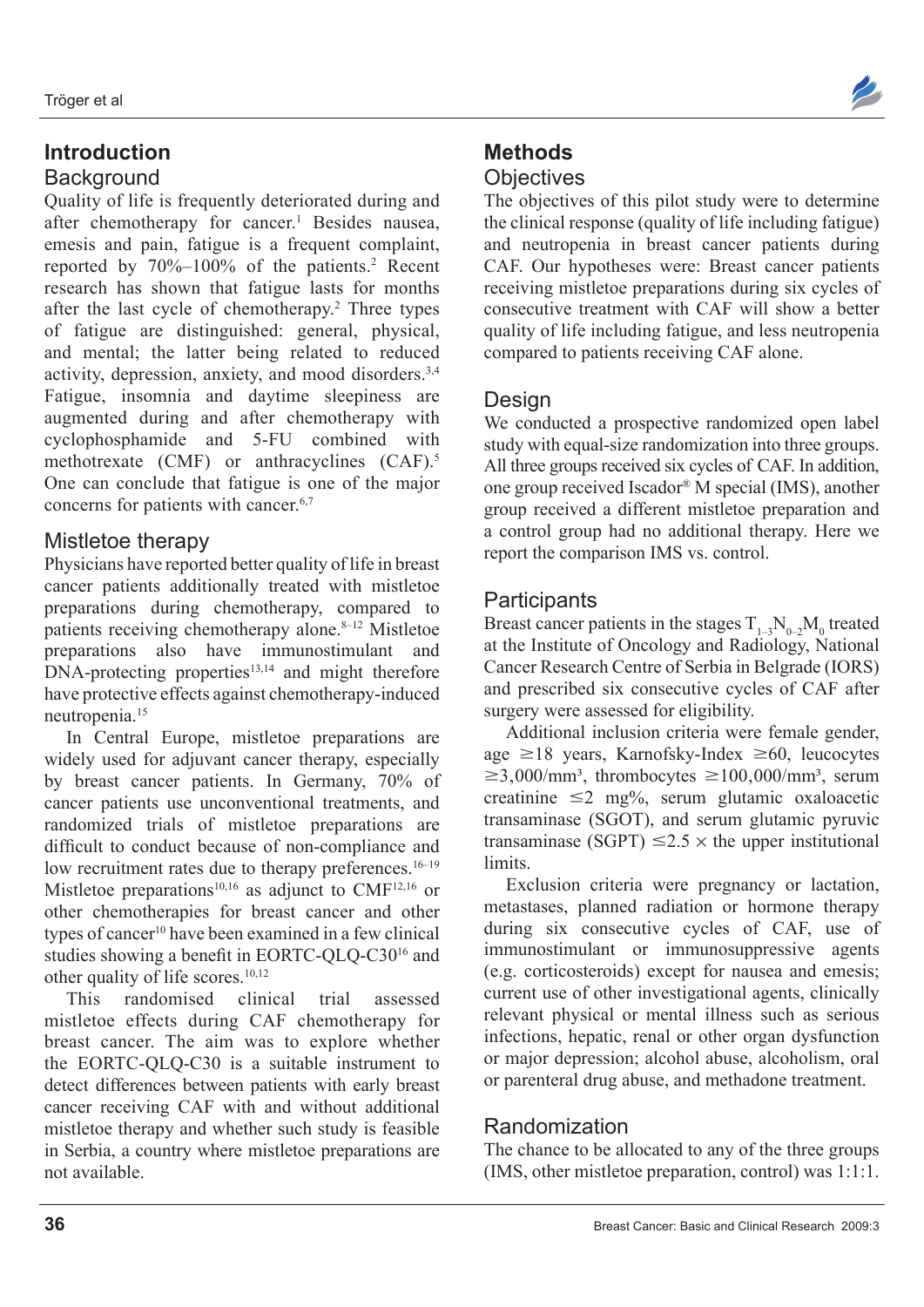# **Introduction Background**

Quality of life is frequently deteriorated during and after chemotherapy for cancer.<sup>1</sup> Besides nausea, emesis and pain, fatigue is a frequent complaint, reported by 70%–100% of the patients.2 Recent research has shown that fatigue lasts for months after the last cycle of chemotherapy.<sup>2</sup> Three types of fatigue are distinguished: general, physical, and mental; the latter being related to reduced activity, depression, anxiety, and mood disorders.3,4 Fatigue, insomnia and daytime sleepiness are augmented during and after chemotherapy with cyclophosphamide and 5-FU combined with methotrexate (CMF) or anthracyclines (CAF).<sup>5</sup> One can conclude that fatigue is one of the major concerns for patients with cancer.<sup>6,7</sup>

# Mistletoe therapy

Physicians have reported better quality of life in breast cancer patients additionally treated with mistletoe preparations during chemotherapy, compared to patients receiving chemotherapy alone. $8-12$  Mistletoe preparations also have immunostimulant and  $DNA-protein$ g properties $13,14$  and might therefore have protective effects against chemotherapy-induced neutropenia.15

In Central Europe, mistletoe preparations are widely used for adjuvant cancer therapy, especially by breast cancer patients. In Germany, 70% of cancer patients use unconventional treatments, and randomized trials of mistletoe preparations are difficult to conduct because of non-compliance and low recruitment rates due to therapy preferences.<sup>16–19</sup> Mistletoe preparations<sup>10,16</sup> as adjunct to CMF<sup>12,16</sup> or other chemotherapies for breast cancer and other types of cancer<sup>10</sup> have been examined in a few clinical studies showing a benefit in EORTC-QLQ-C3016 and other quality of life scores.10,12

This randomised clinical trial assessed mistletoe effects during CAF chemotherapy for breast cancer. The aim was to explore whether the EORTC-QLQ-C30 is a suitable instrument to detect differences between patients with early breast cancer receiving CAF with and without additional mistletoe therapy and whether such study is feasible in Serbia, a country where mistletoe preparations are not available.



# **Methods Objectives**

The objectives of this pilot study were to determine the clinical response (quality of life including fatigue) and neutropenia in breast cancer patients during CAF. Our hypotheses were: Breast cancer patients receiving mistletoe preparations during six cycles of consecutive treatment with CAF will show a better quality of life including fatigue, and less neutropenia compared to patients receiving CAF alone.

## **Design**

We conducted a prospective randomized open label study with equal-size randomization into three groups. All three groups received six cycles of CAF. In addition, one group received Iscador® M special (IMS), another group received a different mistletoe preparation and a control group had no additional therapy. Here we report the comparison IMS vs. control.

# **Participants**

Breast cancer patients in the stages  $T_{1-3}N_{0-2}M_0$  treated at the Institute of Oncology and Radiology, National Cancer Research Centre of Serbia in Belgrade (IORS) and prescribed six consecutive cycles of CAF after surgery were assessed for eligibility.

Additional inclusion criteria were female gender, age  $\geq$ 18 years, Karnofsky-Index  $\geq$ 60, leucocytes  $\geq 3,000/\text{mm}^3$ , thrombocytes  $\geq 100,000/\text{mm}^3$ , serum creatinine  $\leq 2$  mg%, serum glutamic oxaloacetic transaminase (SGOT), and serum glutamic pyruvic transaminase (SGPT)  $\leq 2.5 \times$  the upper institutional limits.

Exclusion criteria were pregnancy or lactation, metastases, planned radiation or hormone therapy during six consecutive cycles of CAF, use of immunostimulant or immunosuppressive agents (e.g. corticosteroids) except for nausea and emesis; current use of other investigational agents, clinically relevant physical or mental illness such as serious infections, hepatic, renal or other organ dysfunction or major depression; alcohol abuse, alcoholism, oral or parenteral drug abuse, and methadone treatment.

## Randomization

The chance to be allocated to any of the three groups (IMS, other mistletoe preparation, control) was 1:1:1.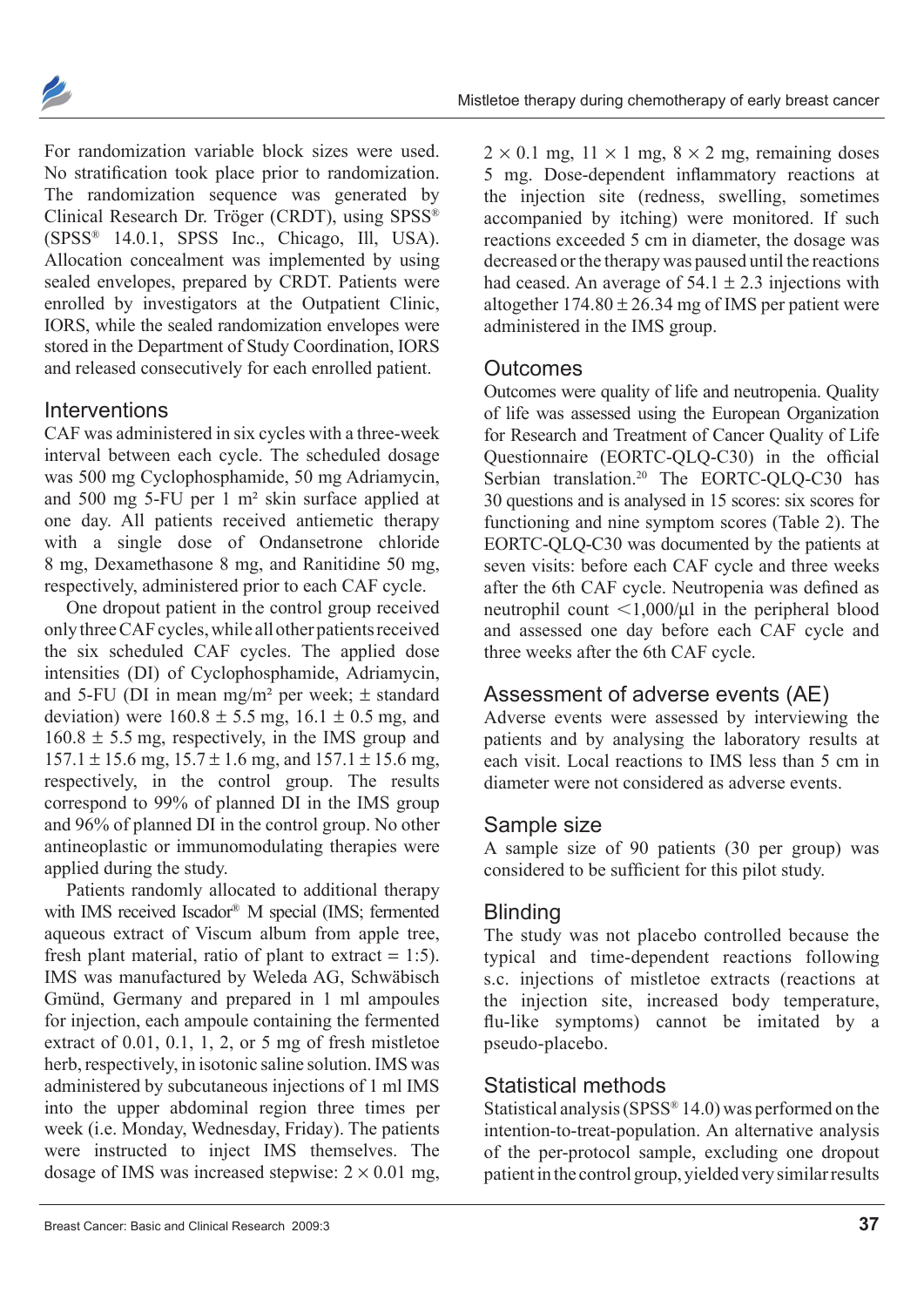

For randomization variable block sizes were used. No stratification took place prior to randomization. The randomization sequence was generated by Clinical Research Dr. Tröger (CRDT), using SPSS®  $(SPSS^{\otimes} 14.0.1, SPSS$  Inc., Chicago, Ill, USA). Allocation concealment was implemented by using sealed envelopes, prepared by CRDT. Patients were enrolled by investigators at the Outpatient Clinic, IORS, while the sealed randomization envelopes were stored in the Department of Study Coordination, IORS and released consecutively for each enrolled patient.

### **Interventions**

CAF was administered in six cycles with a three-week interval between each cycle. The scheduled dosage was 500 mg Cyclophosphamide, 50 mg Adriamycin, and 500 mg 5-FU per 1 m² skin surface applied at one day. All patients received antiemetic therapy with a single dose of Ondansetrone chloride 8 mg, Dexamethasone 8 mg, and Ranitidine 50 mg, respectively, administered prior to each CAF cycle.

One dropout patient in the control group received only three CAF cycles, while all other patients received the six scheduled CAF cycles. The applied dose intensities (DI) of Cyclophosphamide, Adriamycin, and 5-FU (DI in mean mg/m<sup>2</sup> per week;  $\pm$  standard deviation) were  $160.8 \pm 5.5$  mg,  $16.1 \pm 0.5$  mg, and  $160.8 \pm 5.5$  mg, respectively, in the IMS group and  $157.1 \pm 15.6$  mg,  $15.7 \pm 1.6$  mg, and  $157.1 \pm 15.6$  mg, respectively, in the control group. The results correspond to 99% of planned DI in the IMS group and 96% of planned DI in the control group. No other antineoplastic or immunomodulating therapies were applied during the study.

Patients randomly allocated to additional therapy with IMS received Iscador® M special (IMS; fermented aqueous extract of Viscum album from apple tree, fresh plant material, ratio of plant to extract  $= 1:5$ ). IMS was manufactured by Weleda AG, Schwäbisch Gmünd, Germany and prepared in 1 ml ampoules for injection, each ampoule containing the fermented extract of 0.01, 0.1, 1, 2, or 5 mg of fresh mistletoe herb, respectively, in isotonic saline solution. IMS was administered by subcutaneous injections of 1 ml IMS into the upper abdominal region three times per week (i.e. Monday, Wednesday, Friday). The patients were instructed to inject IMS themselves. The dosage of IMS was increased stepwise:  $2 \times 0.01$  mg,

 $2 \times 0.1$  mg,  $11 \times 1$  mg,  $8 \times 2$  mg, remaining doses 5 mg. Dose-dependent inflammatory reactions at the injection site (redness, swelling, sometimes accompanied by itching) were monitored. If such reactions exceeded 5 cm in diameter, the dosage was decreased or the therapy was paused until the reactions had ceased. An average of  $54.1 \pm 2.3$  injections with altogether  $174.80 \pm 26.34$  mg of IMS per patient were administered in the IMS group.

#### **Outcomes**

Outcomes were quality of life and neutropenia. Quality of life was assessed using the European Organization for Research and Treatment of Cancer Quality of Life Questionnaire (EORTC-QLQ-C30) in the official Serbian translation.<sup>20</sup> The EORTC-QLQ-C30 has 30 questions and is analysed in 15 scores: six scores for functioning and nine symptom scores (Table 2). The EORTC-QLQ-C30 was documented by the patients at seven visits: before each CAF cycle and three weeks after the 6th CAF cycle. Neutropenia was defined as neutrophil count  $\leq 1,000/\mu l$  in the peripheral blood and assessed one day before each CAF cycle and three weeks after the 6th CAF cycle.

## Assessment of adverse events (AE)

Adverse events were assessed by interviewing the patients and by analysing the laboratory results at each visit. Local reactions to IMS less than 5 cm in diameter were not considered as adverse events.

#### Sample size

A sample size of 90 patients (30 per group) was considered to be sufficient for this pilot study.

## **Blinding**

The study was not placebo controlled because the typical and time-dependent reactions following s.c. injections of mistletoe extracts (reactions at the injection site, increased body temperature, flu-like symptoms) cannot be imitated by a pseudo-placebo.

#### Statistical methods

Statistical analysis (SPSS® 14.0) was performed on the intention-to-treat-population. An alternative analysis of the per-protocol sample, excluding one dropout patient in the control group, yielded very similar results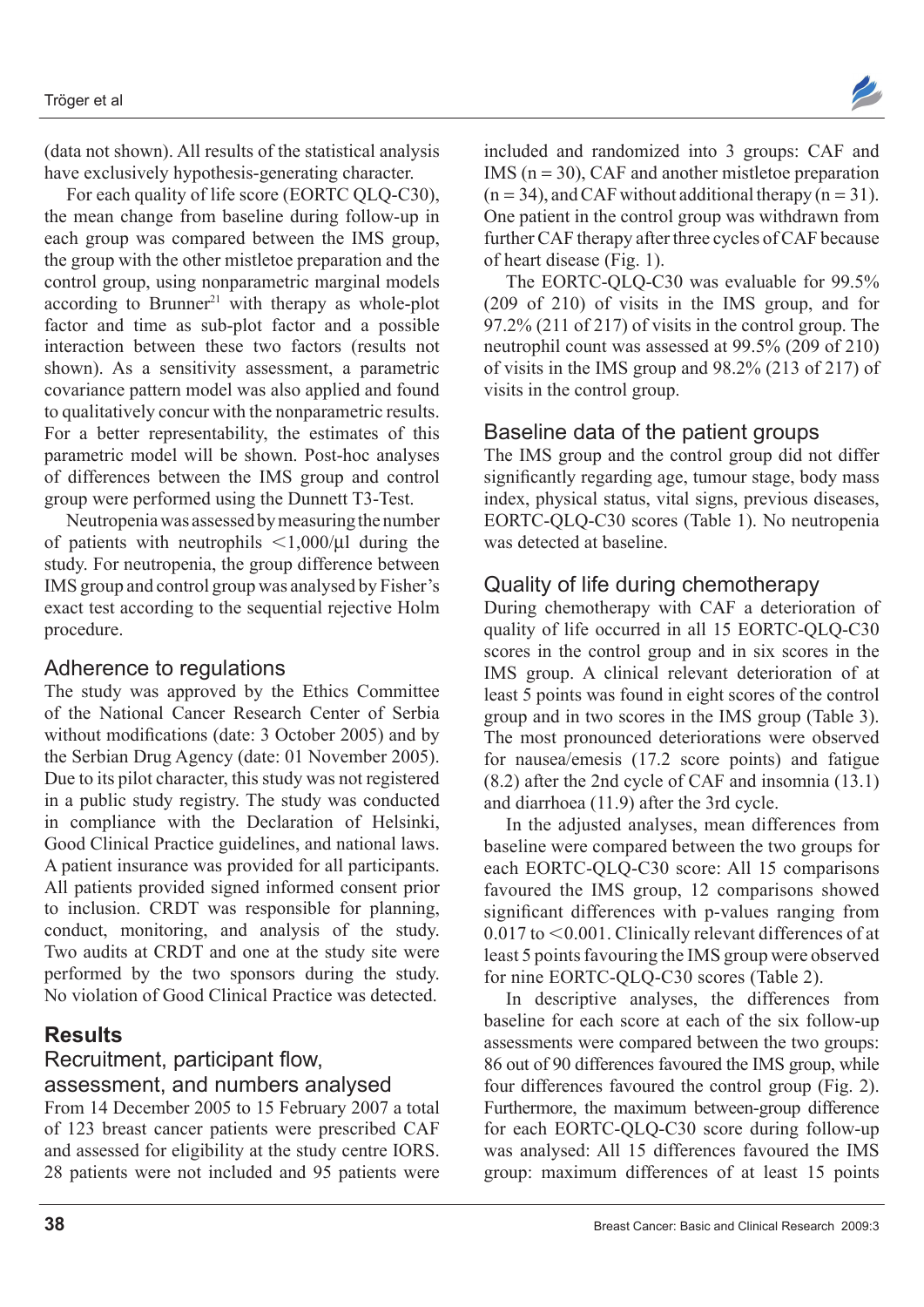(data not shown). All results of the statistical analysis have exclusively hypothesis-generating character.

For each quality of life score (EORTC QLQ-C30), the mean change from baseline during follow-up in each group was compared between the IMS group, the group with the other mistletoe preparation and the control group, using nonparametric marginal models according to Brunner<sup>21</sup> with therapy as whole-plot factor and time as sub-plot factor and a possible interaction between these two factors (results not shown). As a sensitivity assessment, a parametric covariance pattern model was also applied and found to qualitatively concur with the nonparametric results. For a better representability, the estimates of this parametric model will be shown. Post-hoc analyses of differences between the IMS group and control group were performed using the Dunnett T3-Test.

Neutropenia was assessed by measuring the number of patients with neutrophils  $\langle 1,000/\mu \rangle$  during the study. For neutropenia, the group difference between IMS group and control group was analysed by Fisher's exact test according to the sequential rejective Holm procedure.

#### Adherence to regulations

The study was approved by the Ethics Committee of the National Cancer Research Center of Serbia without modifications (date: 3 October 2005) and by the Serbian Drug Agency (date: 01 November 2005). Due to its pilot character, this study was not registered in a public study registry. The study was conducted in compliance with the Declaration of Helsinki, Good Clinical Practice guidelines, and national laws. A patient insurance was provided for all participants. All patients provided signed informed consent prior to inclusion. CRDT was responsible for planning, conduct, monitoring, and analysis of the study. Two audits at CRDT and one at the study site were performed by the two sponsors during the study. No violation of Good Clinical Practice was detected.

# **Results**

# Recruitment, participant flow, assessment, and numbers analysed

From 14 December 2005 to 15 February 2007 a total of 123 breast cancer patients were prescribed CAF and assessed for eligibility at the study centre IORS. 28 patients were not included and 95 patients were

included and randomized into 3 groups: CAF and IMS ( $n = 30$ ), CAF and another mistletoe preparation  $(n = 34)$ , and CAF without additional therapy  $(n = 31)$ . One patient in the control group was withdrawn from further CAF therapy after three cycles of CAF because of heart disease (Fig. 1).

The EORTC-QLQ-C30 was evaluable for 99.5% (209 of 210) of visits in the IMS group, and for 97.2% (211 of 217) of visits in the control group. The neutrophil count was assessed at 99.5% (209 of 210) of visits in the IMS group and 98.2% (213 of 217) of visits in the control group.

# Baseline data of the patient groups

The IMS group and the control group did not differ significantly regarding age, tumour stage, body mass index, physical status, vital signs, previous diseases, EORTC-QLQ-C30 scores (Table 1). No neutropenia was detected at baseline.

# Quality of life during chemotherapy

During chemotherapy with CAF a deterioration of quality of life occurred in all 15 EORTC-QLQ-C30 scores in the control group and in six scores in the IMS group. A clinical relevant deterioration of at least 5 points was found in eight scores of the control group and in two scores in the IMS group (Table 3). The most pronounced deteriorations were observed for nausea/emesis (17.2 score points) and fatigue (8.2) after the 2nd cycle of CAF and insomnia (13.1) and diarrhoea (11.9) after the 3rd cycle.

In the adjusted analyses, mean differences from baseline were compared between the two groups for each EORTC-QLQ-C30 score: All 15 comparisons favoured the IMS group, 12 comparisons showed significant differences with p-values ranging from  $0.017$  to  $0.001$ . Clinically relevant differences of at least 5 points favouring the IMS group were observed for nine EORTC-QLQ-C30 scores (Table 2).

In descriptive analyses, the differences from baseline for each score at each of the six follow-up assessments were compared between the two groups: 86 out of 90 differences favoured the IMS group, while four differences favoured the control group (Fig. 2). Furthermore, the maximum between-group difference for each EORTC-QLQ-C30 score during follow-up was analysed: All 15 differences favoured the IMS group: maximum differences of at least 15 points

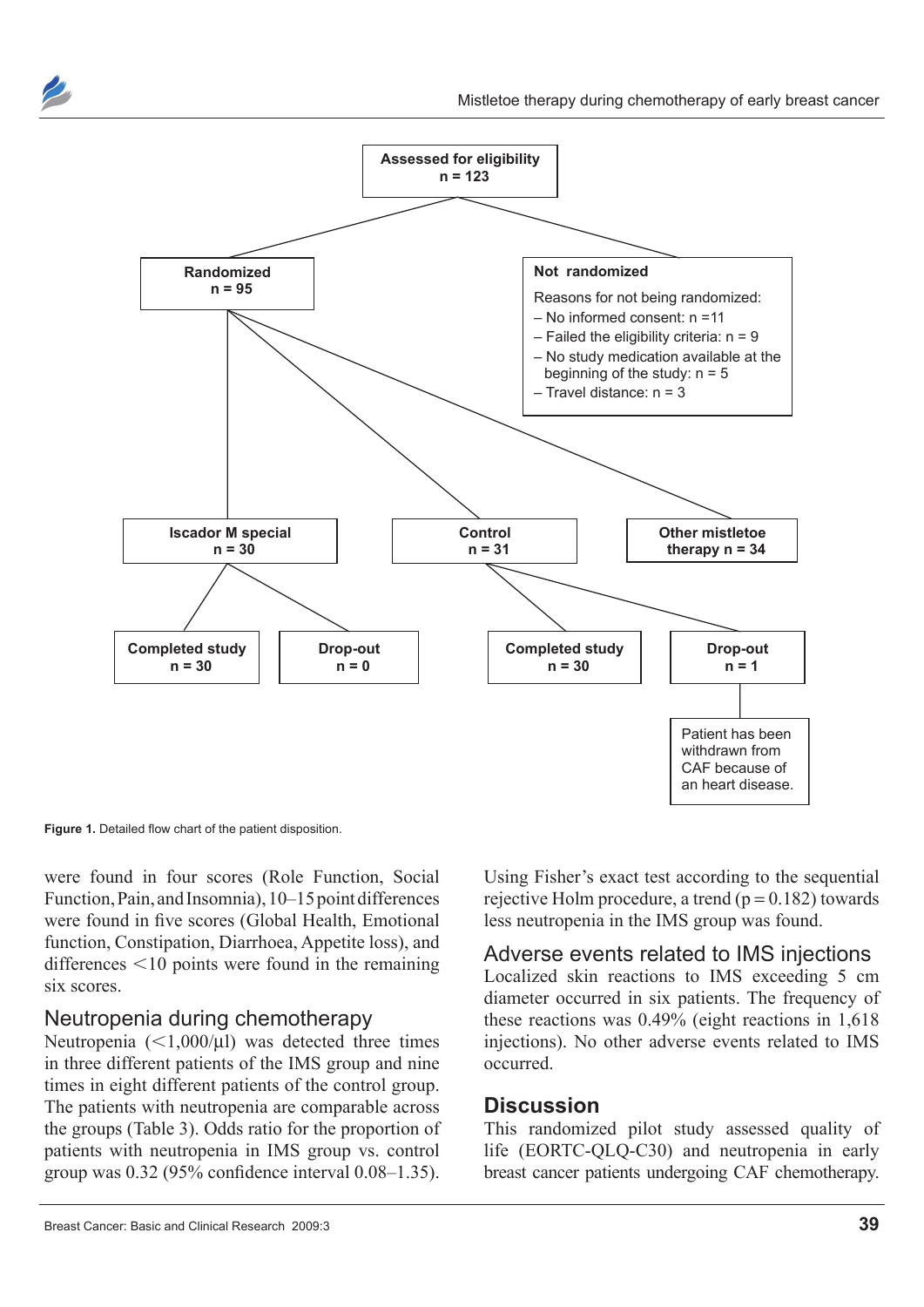



**Figure 1.** Detailed flow chart of the patient disposition.

were found in four scores (Role Function, Social Function, Pain, and Insomnia), 10–15 point differences were found in five scores (Global Health, Emotional function, Constipation, Diarrhoea, Appetite loss), and differences  $\leq 10$  points were found in the remaining six scores.

#### Neutropenia during chemotherapy

Neutropenia  $\left($  < 1,000/ $\mu$ l) was detected three times in three different patients of the IMS group and nine times in eight different patients of the control group. The patients with neutropenia are comparable across the groups (Table 3). Odds ratio for the proportion of patients with neutropenia in IMS group vs. control group was 0.32 (95% confidence interval 0.08–1.35). Using Fisher's exact test according to the sequential rejective Holm procedure, a trend  $(p = 0.182)$  towards less neutropenia in the IMS group was found.

Adverse events related to IMS injections Localized skin reactions to IMS exceeding 5 cm diameter occurred in six patients. The frequency of these reactions was 0.49% (eight reactions in 1,618 injections). No other adverse events related to IMS occurred.

#### **Discussion**

This randomized pilot study assessed quality of life (EORTC-QLQ-C30) and neutropenia in early breast cancer patients undergoing CAF chemotherapy.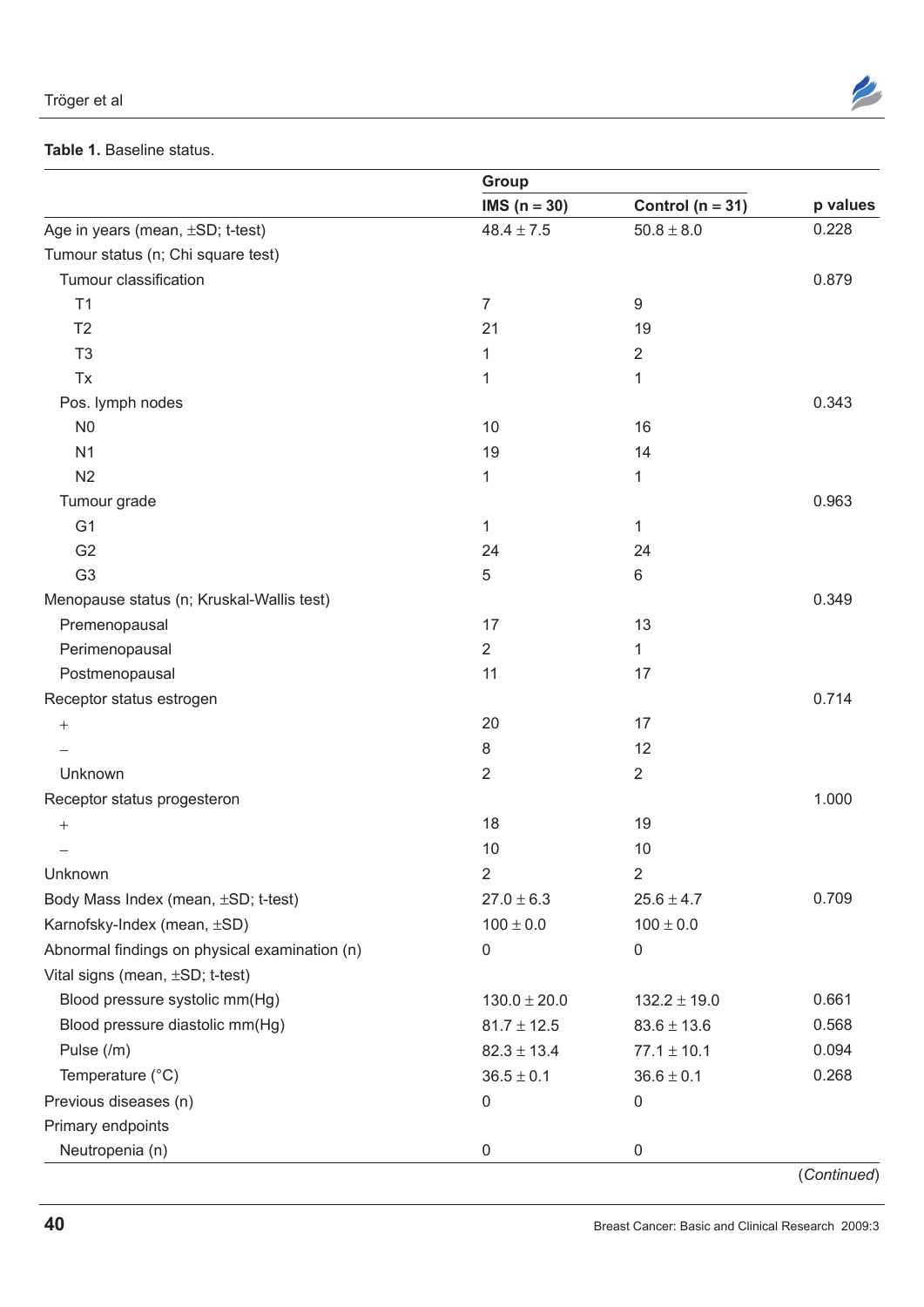| Tröger et al |  |
|--------------|--|
|--------------|--|



#### **Table 1.** Baseline status.

|                                               | Group            |                      |          |  |  |
|-----------------------------------------------|------------------|----------------------|----------|--|--|
|                                               | IMS $(n = 30)$   | Control ( $n = 31$ ) | p values |  |  |
| Age in years (mean, ±SD; t-test)              | $48.4 \pm 7.5$   | $50.8 \pm 8.0$       | 0.228    |  |  |
| Tumour status (n; Chi square test)            |                  |                      |          |  |  |
| Tumour classification                         |                  |                      | 0.879    |  |  |
| T1                                            | 7                | 9                    |          |  |  |
| T <sub>2</sub>                                | 21               | 19                   |          |  |  |
| T <sub>3</sub>                                | 1                | $\overline{2}$       |          |  |  |
| Tx                                            | 1                | 1                    |          |  |  |
| Pos. lymph nodes                              |                  |                      | 0.343    |  |  |
| N <sub>0</sub>                                | 10               | 16                   |          |  |  |
| N <sub>1</sub>                                | 19               | 14                   |          |  |  |
| N <sub>2</sub>                                | 1                | 1                    |          |  |  |
| Tumour grade                                  |                  |                      | 0.963    |  |  |
| G <sub>1</sub>                                | 1                | 1                    |          |  |  |
| G <sub>2</sub>                                | 24               | 24                   |          |  |  |
| G <sub>3</sub>                                | 5                | 6                    |          |  |  |
| Menopause status (n; Kruskal-Wallis test)     |                  |                      | 0.349    |  |  |
| Premenopausal                                 | 17               | 13                   |          |  |  |
| Perimenopausal                                | $\overline{2}$   | $\mathbf{1}$         |          |  |  |
| Postmenopausal                                | 11               | 17                   |          |  |  |
| Receptor status estrogen                      |                  |                      | 0.714    |  |  |
| $\qquad \qquad +$                             | 20               | 17                   |          |  |  |
|                                               | 8                | 12                   |          |  |  |
| Unknown                                       | $\overline{2}$   | $\overline{2}$       |          |  |  |
| Receptor status progesteron                   |                  |                      | 1.000    |  |  |
| $^+$                                          | 18               | 19                   |          |  |  |
|                                               | 10               | 10                   |          |  |  |
| Unknown                                       | $\overline{2}$   | $\overline{2}$       |          |  |  |
| Body Mass Index (mean, ±SD; t-test)           | $27.0 \pm 6.3$   | $25.6 \pm 4.7$       | 0.709    |  |  |
| Karnofsky-Index (mean, ±SD)                   | $100 \pm 0.0$    | $100 \pm 0.0$        |          |  |  |
| Abnormal findings on physical examination (n) | 0                | 0                    |          |  |  |
| Vital signs (mean, ±SD; t-test)               |                  |                      |          |  |  |
| Blood pressure systolic mm(Hg)                | $130.0 \pm 20.0$ | $132.2 \pm 19.0$     | 0.661    |  |  |
| Blood pressure diastolic mm(Hg)               | $81.7 \pm 12.5$  | $83.6 \pm 13.6$      | 0.568    |  |  |
| Pulse (/m)                                    | $82.3 \pm 13.4$  | $77.1 \pm 10.1$      | 0.094    |  |  |
| Temperature (°C)                              | $36.5 \pm 0.1$   | $36.6 \pm 0.1$       | 0.268    |  |  |
| Previous diseases (n)                         | 0                | 0                    |          |  |  |
| Primary endpoints                             |                  |                      |          |  |  |
| Neutropenia (n)                               | 0                | 0                    |          |  |  |
|                                               |                  |                      |          |  |  |

(*Continued*)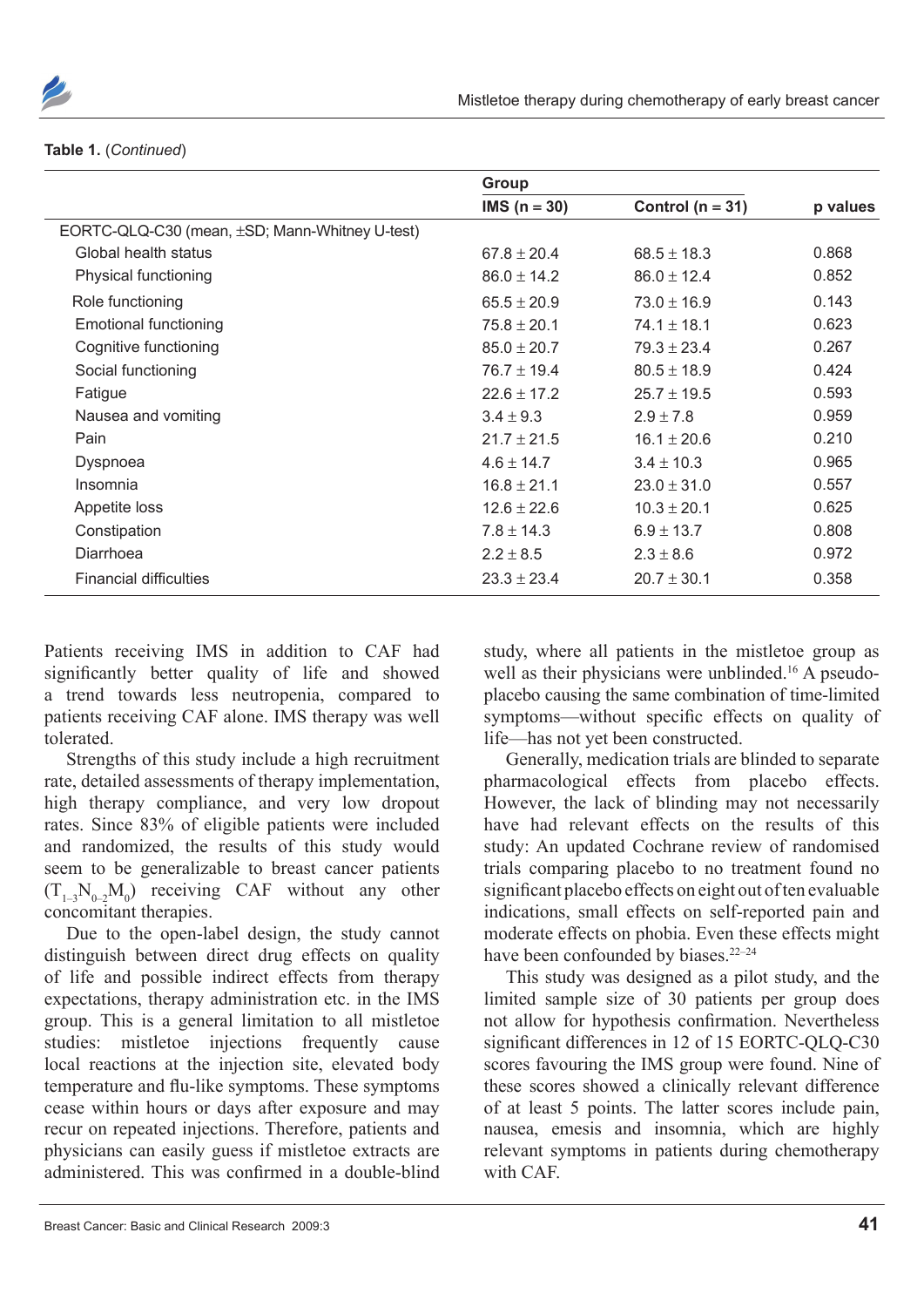

#### **Table 1.** (*Continued*)

|                                                | Group           |                    |          |
|------------------------------------------------|-----------------|--------------------|----------|
|                                                | $IMS (n = 30)$  | Control $(n = 31)$ | p values |
| EORTC-QLQ-C30 (mean, ±SD; Mann-Whitney U-test) |                 |                    |          |
| Global health status                           | $67.8 \pm 20.4$ | $68.5 \pm 18.3$    | 0.868    |
| Physical functioning                           | $86.0 \pm 14.2$ | $86.0 \pm 12.4$    | 0.852    |
| Role functioning                               | $65.5 \pm 20.9$ | $73.0 \pm 16.9$    | 0.143    |
| <b>Emotional functioning</b>                   | $75.8 \pm 20.1$ | 74.1 $\pm$ 18.1    | 0.623    |
| Cognitive functioning                          | $85.0 \pm 20.7$ | $79.3 \pm 23.4$    | 0.267    |
| Social functioning                             | $76.7 \pm 19.4$ | $80.5 \pm 18.9$    | 0.424    |
| Fatigue                                        | $22.6 \pm 17.2$ | $25.7 \pm 19.5$    | 0.593    |
| Nausea and vomiting                            | $3.4 \pm 9.3$   | $2.9 \pm 7.8$      | 0.959    |
| Pain                                           | $21.7 + 21.5$   | $16.1 \pm 20.6$    | 0.210    |
| Dyspnoea                                       | $4.6 \pm 14.7$  | $3.4 \pm 10.3$     | 0.965    |
| Insomnia                                       | $16.8 \pm 21.1$ | $23.0 \pm 31.0$    | 0.557    |
| Appetite loss                                  | $12.6 \pm 22.6$ | $10.3 \pm 20.1$    | 0.625    |
| Constipation                                   | $7.8 \pm 14.3$  | $6.9 \pm 13.7$     | 0.808    |
| Diarrhoea                                      | $2.2 \pm 8.5$   | $2.3 \pm 8.6$      | 0.972    |
| <b>Financial difficulties</b>                  | $23.3 \pm 23.4$ | $20.7 \pm 30.1$    | 0.358    |

Patients receiving IMS in addition to CAF had significantly better quality of life and showed a trend towards less neutropenia, compared to patients receiving CAF alone. IMS therapy was well tolerated.

Strengths of this study include a high recruitment rate, detailed assessments of therapy implementation, high therapy compliance, and very low dropout rates. Since 83% of eligible patients were included and randomized, the results of this study would seem to be generalizable to breast cancer patients  $(T_{1-3}N_{0-2}M_0)$  receiving CAF without any other concomitant therapies.

Due to the open-label design, the study cannot distinguish between direct drug effects on quality of life and possible indirect effects from therapy expectations, therapy administration etc. in the IMS group. This is a general limitation to all mistletoe studies: mistletoe injections frequently cause local reactions at the injection site, elevated body temperature and flu-like symptoms. These symptoms cease within hours or days after exposure and may recur on repeated injections. Therefore, patients and physicians can easily guess if mistletoe extracts are administered. This was confirmed in a double-blind study, where all patients in the mistletoe group as well as their physicians were unblinded.<sup>16</sup> A pseudoplacebo causing the same combination of time-limited symptoms—without specific effects on quality of life—has not yet been constructed.

Generally, medication trials are blinded to separate pharmacological effects from placebo effects. However, the lack of blinding may not necessarily have had relevant effects on the results of this study: An updated Cochrane review of randomised trials comparing placebo to no treatment found no significant placebo effects on eight out of ten evaluable indications, small effects on self-reported pain and moderate effects on phobia. Even these effects might have been confounded by biases.<sup>22-24</sup>

This study was designed as a pilot study, and the limited sample size of 30 patients per group does not allow for hypothesis confirmation. Nevertheless significant differences in 12 of 15 EORTC-QLQ-C30 scores favouring the IMS group were found. Nine of these scores showed a clinically relevant difference of at least 5 points. The latter scores include pain, nausea, emesis and insomnia, which are highly relevant symptoms in patients during chemotherapy with CAF.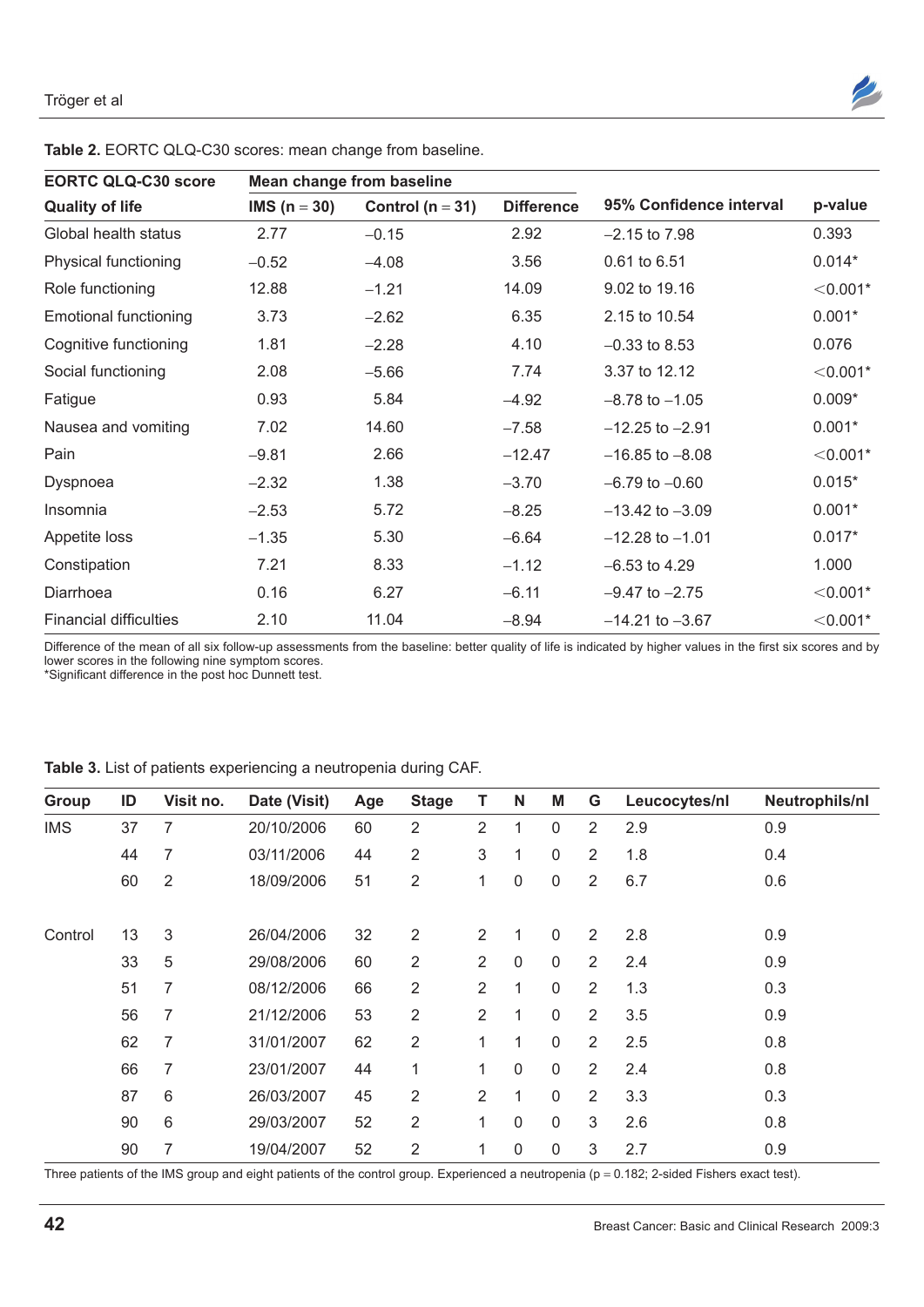

**Table 2.** EORTC QLQ-C30 scores: mean change from baseline.

Difference of the mean of all six follow-up assessments from the baseline: better quality of life is indicated by higher values in the first six scores and by lower scores in the following nine symptom scores.

Diarrhoea 0.16 6.27 -6.11 -9.47 to -2.75 0.001\* Financial difficulties 2.10 11.04  $-8.94$   $-14.21$  to  $-3.67$   $< 0.001$ \*

\*Significant difference in the post hoc Dunnett test.

#### **Table 3.** List of patients experiencing a neutropenia during CAF.

| Group      | ID | Visit no. | Date (Visit) | Age | <b>Stage</b>   | т              | N            | M            | G              | Leucocytes/nl | Neutrophils/nl |
|------------|----|-----------|--------------|-----|----------------|----------------|--------------|--------------|----------------|---------------|----------------|
| <b>IMS</b> | 37 | 7         | 20/10/2006   | 60  | $\overline{2}$ | $\overline{2}$ | 1            | $\pmb{0}$    | 2              | 2.9           | 0.9            |
|            | 44 | 7         | 03/11/2006   | 44  | $\overline{2}$ | 3              | 1            | 0            | $\overline{2}$ | 1.8           | 0.4            |
|            | 60 | 2         | 18/09/2006   | 51  | 2              | 1              | 0            | 0            | 2              | 6.7           | 0.6            |
|            |    |           |              |     |                |                |              |              |                |               |                |
| Control    | 13 | 3         | 26/04/2006   | 32  | $\overline{2}$ | $\overline{2}$ | 1            | $\mathbf 0$  | 2              | 2.8           | 0.9            |
|            | 33 | 5         | 29/08/2006   | 60  | $\overline{2}$ | $\overline{2}$ | 0            | 0            | 2              | 2.4           | 0.9            |
|            | 51 | 7         | 08/12/2006   | 66  | $\overline{2}$ | $\overline{2}$ | $\mathbf{1}$ | $\mathbf 0$  | $\overline{2}$ | 1.3           | 0.3            |
|            | 56 | 7         | 21/12/2006   | 53  | $\overline{2}$ | 2              | 1            | 0            | 2              | 3.5           | 0.9            |
|            | 62 | 7         | 31/01/2007   | 62  | $\overline{2}$ | 1              | 1            | $\mathbf 0$  | 2              | 2.5           | 0.8            |
|            | 66 | 7         | 23/01/2007   | 44  | 1              | 1              | $\mathbf{0}$ | $\mathbf{0}$ | 2              | 2.4           | 0.8            |
|            | 87 | 6         | 26/03/2007   | 45  | $\overline{2}$ | $\overline{2}$ | 1            | $\mathbf 0$  | $\overline{2}$ | 3.3           | 0.3            |
|            | 90 | 6         | 29/03/2007   | 52  | $\overline{2}$ | 1              | $\mathbf 0$  | $\mathbf 0$  | 3              | 2.6           | 0.8            |
|            | 90 | 7         | 19/04/2007   | 52  | $\overline{2}$ | 1              | $\mathbf 0$  | $\mathbf 0$  | 3              | 2.7           | 0.9            |

Three patients of the IMS group and eight patients of the control group. Experienced a neutropenia ( $p = 0.182$ ; 2-sided Fishers exact test).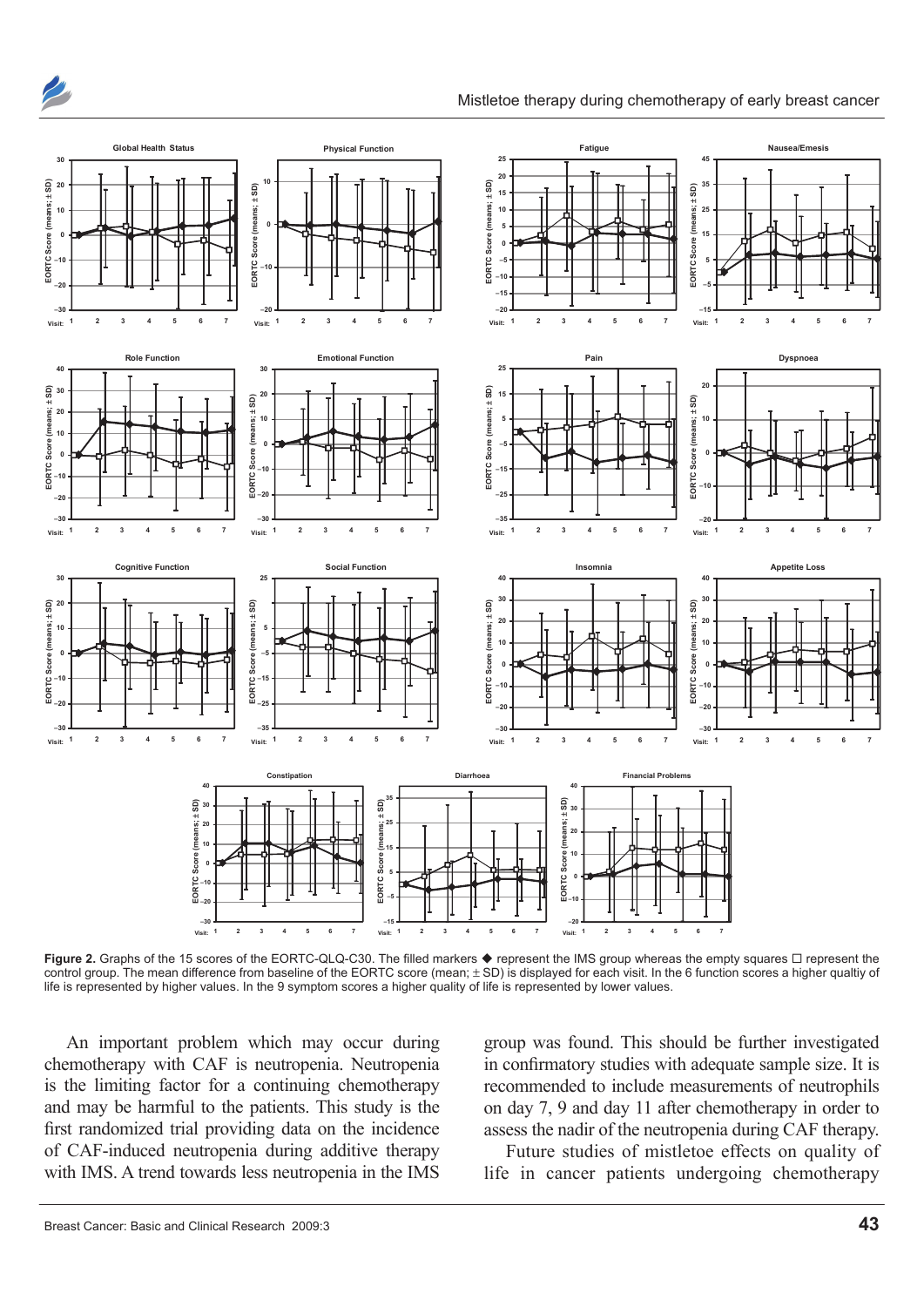



**Figure 2.** Graphs of the 15 scores of the EORTC-QLQ-C30. The filled markers ♦ represent the IMS group whereas the empty squares  $□$  represent the control group. The mean difference from baseline of the EORTC score (mean; ± SD) is displayed for each visit. In the 6 function scores a higher qualtiy of life is represented by higher values. In the 9 symptom scores a higher quality of life is represented by lower values.

An important problem which may occur during chemotherapy with CAF is neutropenia. Neutropenia is the limiting factor for a continuing chemotherapy and may be harmful to the patients. This study is the first randomized trial providing data on the incidence of CAF-induced neutropenia during additive therapy with IMS. A trend towards less neutropenia in the IMS group was found. This should be further investigated in confirmatory studies with adequate sample size. It is recommended to include measurements of neutrophils on day 7, 9 and day 11 after chemotherapy in order to assess the nadir of the neutropenia during CAF therapy.

Future studies of mistletoe effects on quality of life in cancer patients undergoing chemotherapy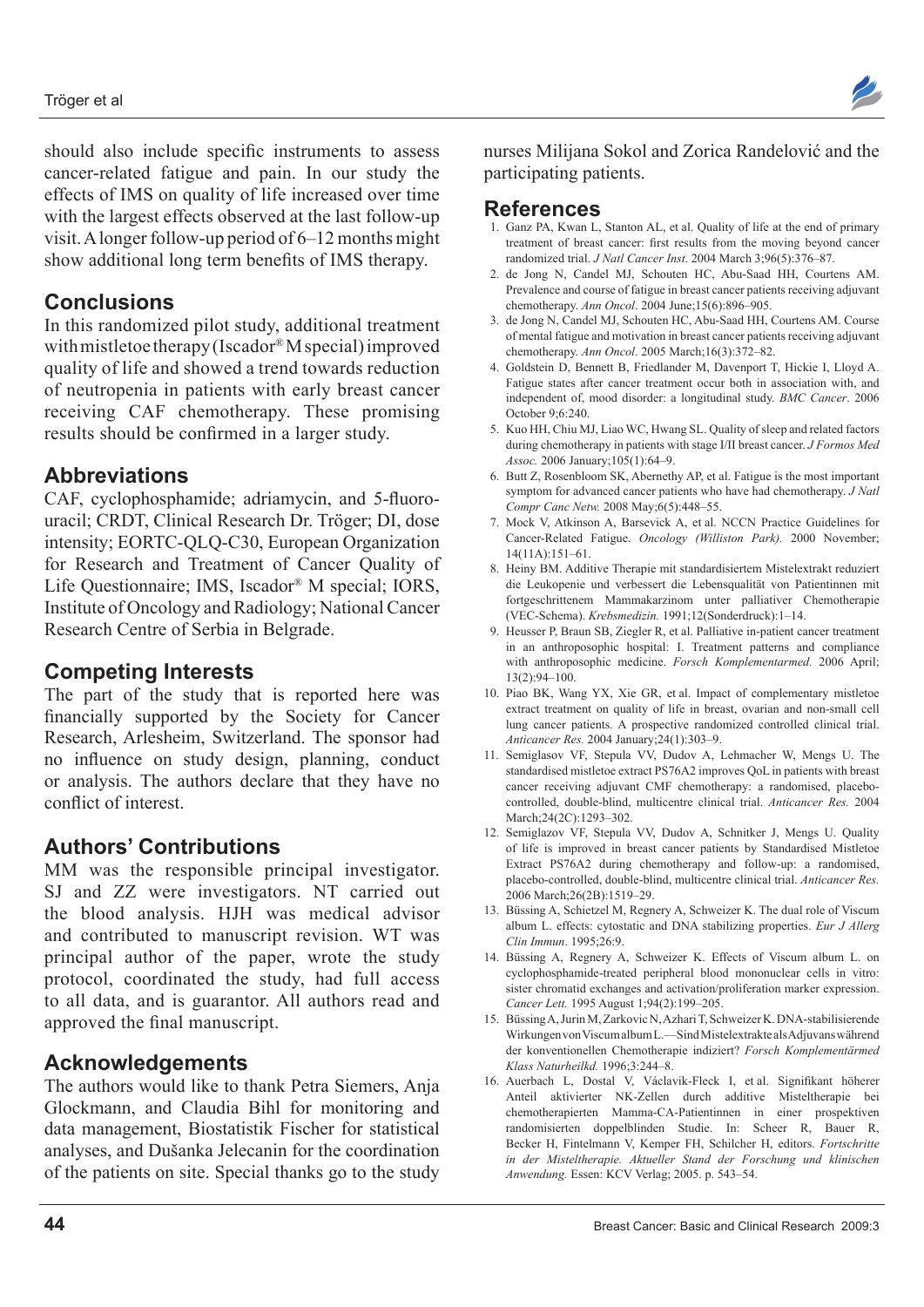should also include specific instruments to assess cancer-related fatigue and pain. In our study the effects of IMS on quality of life increased over time with the largest effects observed at the last follow-up visit. A longer follow-up period of 6–12 months might show additional long term benefits of IMS therapy.

# **Conclusions**

In this randomized pilot study, additional treatment with mistletoe therapy (Iscador® M special) improved quality of life and showed a trend towards reduction of neutropenia in patients with early breast cancer receiving CAF chemotherapy. These promising results should be confirmed in a larger study.

# **Abbreviations**

CAF, cyclophosphamide; adriamycin, and 5-fluorouracil; CRDT, Clinical Research Dr. Tröger; DI, dose intensity; EORTC-QLQ-C30, European Organization for Research and Treatment of Cancer Quality of Life Questionnaire; IMS, Iscador® M special; IORS, Institute of Oncology and Radiology; National Cancer Research Centre of Serbia in Belgrade.

# **Competing Interests**

The part of the study that is reported here was financially supported by the Society for Cancer Research, Arlesheim, Switzerland. The sponsor had no influence on study design, planning, conduct or analysis. The authors declare that they have no conflict of interest.

# **Authors' Contributions**

MM was the responsible principal investigator. SJ and ZZ were investigators. NT carried out the blood analysis. HJH was medical advisor and contributed to manuscript revision. WT was principal author of the paper, wrote the study protocol, coordinated the study, had full access to all data, and is guarantor. All authors read and approved the final manuscript.

## **Acknowledgements**

The authors would like to thank Petra Siemers, Anja Glockmann, and Claudia Bihl for monitoring and data management, Biostatistik Fischer for statistical analyses, and Dušanka Jelecanin for the coordination of the patients on site. Special thanks go to the study



## **References**

- 1. Ganz PA, Kwan L, Stanton AL, et al. Quality of life at the end of primary treatment of breast cancer: first results from the moving beyond cancer randomized trial. *J Natl Cancer Inst*. 2004 March 3;96(5):376–87.
- 2. de Jong N, Candel MJ, Schouten HC, Abu-Saad HH, Courtens AM. Prevalence and course of fatigue in breast cancer patients receiving adjuvant chemotherapy. *Ann Oncol*. 2004 June;15(6):896–905.
- 3. de Jong N, Candel MJ, Schouten HC, Abu-Saad HH, Courtens AM. Course of mental fatigue and motivation in breast cancer patients receiving adjuvant chemotherapy. *Ann Oncol*. 2005 March;16(3):372–82.
- 4. Goldstein D, Bennett B, Friedlander M, Davenport T, Hickie I, Lloyd A. Fatigue states after cancer treatment occur both in association with, and independent of, mood disorder: a longitudinal study. *BMC Cancer*. 2006 October 9;6:240.
- 5. Kuo HH, Chiu MJ, Liao WC, Hwang SL. Quality of sleep and related factors during chemotherapy in patients with stage I/II breast cancer. *J Formos Med Assoc.* 2006 January;105(1):64–9.
- 6. Butt Z, Rosenbloom SK, Abernethy AP, et al. Fatigue is the most important symptom for advanced cancer patients who have had chemotherapy. *J Natl Compr Canc Netw.* 2008 May;6(5):448–55.
- 7. Mock V, Atkinson A, Barsevick A, et al. NCCN Practice Guidelines for Cancer-Related Fatigue. *Oncology (Williston Park).* 2000 November; 14(11A):151–61.
- 8. Heiny BM. Additive Therapie mit standardisiertem Mistelextrakt reduziert die Leukopenie und verbessert die Lebensqualität von Patientinnen mit fortgeschrittenem Mammakarzinom unter palliativer Chemotherapie (VEC-Schema). *Krebsmedizin.* 1991;12(Sonderdruck):1–14.
- 9. Heusser P, Braun SB, Ziegler R, et al. Palliative in-patient cancer treatment in an anthroposophic hospital: I. Treatment patterns and compliance with anthroposophic medicine. *Forsch Komplementarmed.* 2006 April; 13(2):94–100.
- 10. Piao BK, Wang YX, Xie GR, et al. Impact of complementary mistletoe extract treatment on quality of life in breast, ovarian and non-small cell lung cancer patients. A prospective randomized controlled clinical trial. *Anticancer Res.* 2004 January;24(1):303–9.
- 11. Semiglasov VF, Stepula VV, Dudov A, Lehmacher W, Mengs U. The standardised mistletoe extract PS76A2 improves QoL in patients with breast cancer receiving adjuvant CMF chemotherapy: a randomised, placebocontrolled, double-blind, multicentre clinical trial. *Anticancer Res.* 2004 March;24(2C):1293–302.
- 12. Semiglazov VF, Stepula VV, Dudov A, Schnitker J, Mengs U. Quality of life is improved in breast cancer patients by Standardised Mistletoe Extract PS76A2 during chemotherapy and follow-up: a randomised, placebo-controlled, double-blind, multicentre clinical trial. *Anticancer Res.* 2006 March;26(2B):1519–29.
- 13. Büssing A, Schietzel M, Regnery A, Schweizer K. The dual role of Viscum album L. effects: cytostatic and DNA stabilizing properties. *Eur J Allerg Clin Immun*. 1995;26:9.
- 14. Büssing A, Regnery A, Schweizer K. Effects of Viscum album L. on cyclophosphamide-treated peripheral blood mononuclear cells in vitro: sister chromatid exchanges and activation/proliferation marker expression. *Cancer Lett.* 1995 August 1;94(2):199–205.
- 15. Büssing A, Jurin M, Zarkovic N, Azhari T, Schweizer K. DNA-stabilisierende Wirkungen von Viscum album L.—Sind Mistelextrakte als Adjuvans während der konventionellen Chemotherapie indiziert? *Forsch Komplementärmed Klass Naturheilkd.* 1996;3:244–8.
- 16. Auerbach L, Dostal V, Václavik-Fleck I, et al. Signifikant höherer Anteil aktivierter NK-Zellen durch additive Misteltherapie bei chemotherapierten Mamma-CA-Patientinnen in einer prospektiven randomisierten doppelblinden Studie. In: Scheer R, Bauer R, Becker H, Fintelmann V, Kemper FH, Schilcher H, editors. *Fortschritte in der Misteltherapie. Aktueller Stand der Forschung und klinischen Anwendung.* Essen: KCV Verlag; 2005. p. 543–54.